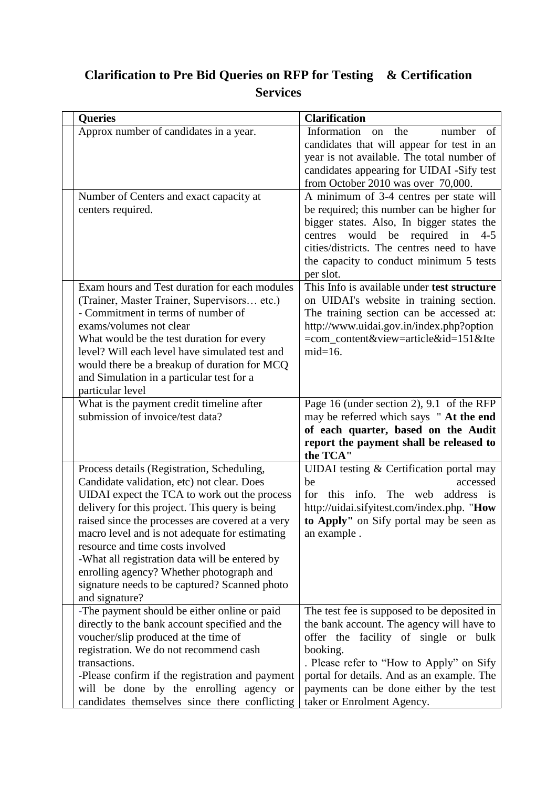## **Clarification to Pre Bid Queries on RFP for Testing & Certification Services**

| <b>Queries</b>                                                                                                                                                                                                                                                                                                                                                                                                                                                                                        | <b>Clarification</b>                                                                                                                                                                                                                                                                                            |
|-------------------------------------------------------------------------------------------------------------------------------------------------------------------------------------------------------------------------------------------------------------------------------------------------------------------------------------------------------------------------------------------------------------------------------------------------------------------------------------------------------|-----------------------------------------------------------------------------------------------------------------------------------------------------------------------------------------------------------------------------------------------------------------------------------------------------------------|
| Approx number of candidates in a year.                                                                                                                                                                                                                                                                                                                                                                                                                                                                | Information<br>the<br>of<br>number<br>on<br>candidates that will appear for test in an<br>year is not available. The total number of<br>candidates appearing for UIDAI -Sify test<br>from October 2010 was over 70,000.                                                                                         |
| Number of Centers and exact capacity at<br>centers required.                                                                                                                                                                                                                                                                                                                                                                                                                                          | A minimum of 3-4 centres per state will<br>be required; this number can be higher for<br>bigger states. Also, In bigger states the<br>centres would be required in<br>$4 - 5$<br>cities/districts. The centres need to have<br>the capacity to conduct minimum 5 tests<br>per slot.                             |
| Exam hours and Test duration for each modules<br>(Trainer, Master Trainer, Supervisors etc.)<br>- Commitment in terms of number of<br>exams/volumes not clear<br>What would be the test duration for every<br>level? Will each level have simulated test and<br>would there be a breakup of duration for MCQ<br>and Simulation in a particular test for a<br>particular level                                                                                                                         | This Info is available under test structure<br>on UIDAI's website in training section.<br>The training section can be accessed at:<br>http://www.uidai.gov.in/index.php?option<br>=com_content&view=article&id=151&Ite<br>$mid=16$ .                                                                            |
| What is the payment credit timeline after<br>submission of invoice/test data?                                                                                                                                                                                                                                                                                                                                                                                                                         | Page 16 (under section 2), 9.1 of the RFP<br>may be referred which says "At the end<br>of each quarter, based on the Audit<br>report the payment shall be released to<br>the TCA"                                                                                                                               |
| Process details (Registration, Scheduling,<br>Candidate validation, etc) not clear. Does<br>UIDAI expect the TCA to work out the process<br>delivery for this project. This query is being<br>raised since the processes are covered at a very<br>macro level and is not adequate for estimating<br>resource and time costs involved<br>-What all registration data will be entered by<br>enrolling agency? Whether photograph and<br>signature needs to be captured? Scanned photo<br>and signature? | UIDAI testing & Certification portal may<br>accessed<br>be<br>this info.<br>The web<br>address is<br>for<br>http://uidai.sifyitest.com/index.php. "How<br>to Apply" on Sify portal may be seen as<br>an example.                                                                                                |
| -The payment should be either online or paid<br>directly to the bank account specified and the<br>voucher/slip produced at the time of<br>registration. We do not recommend cash<br>transactions.<br>-Please confirm if the registration and payment<br>will be done by the enrolling agency or<br>candidates themselves since there conflicting                                                                                                                                                      | The test fee is supposed to be deposited in<br>the bank account. The agency will have to<br>offer the facility of single or bulk<br>booking.<br>. Please refer to "How to Apply" on Sify<br>portal for details. And as an example. The<br>payments can be done either by the test<br>taker or Enrolment Agency. |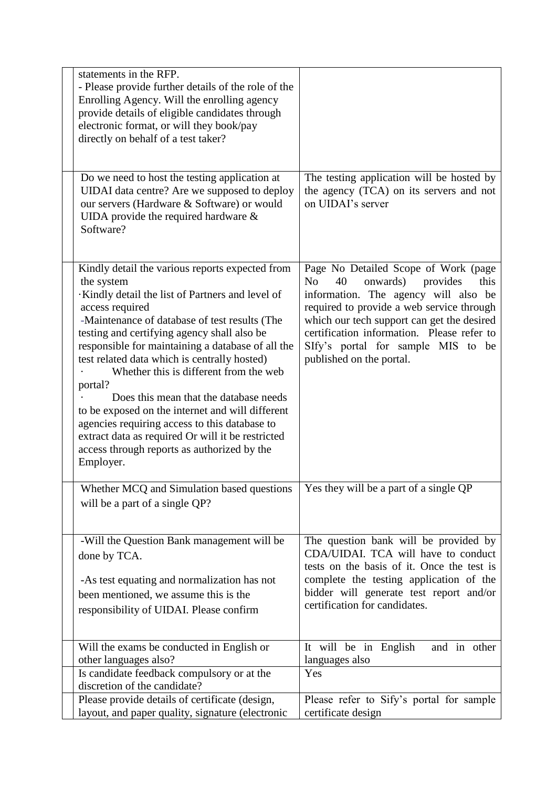| statements in the RFP.<br>- Please provide further details of the role of the<br>Enrolling Agency. Will the enrolling agency<br>provide details of eligible candidates through<br>electronic format, or will they book/pay<br>directly on behalf of a test taker?                                                                                                                                                                                                                                                                                                                                                                                             |                                                                                                                                                                                                                                                                                                                                                 |
|---------------------------------------------------------------------------------------------------------------------------------------------------------------------------------------------------------------------------------------------------------------------------------------------------------------------------------------------------------------------------------------------------------------------------------------------------------------------------------------------------------------------------------------------------------------------------------------------------------------------------------------------------------------|-------------------------------------------------------------------------------------------------------------------------------------------------------------------------------------------------------------------------------------------------------------------------------------------------------------------------------------------------|
| Do we need to host the testing application at<br>UIDAI data centre? Are we supposed to deploy<br>our servers (Hardware & Software) or would<br>UIDA provide the required hardware $\&$<br>Software?                                                                                                                                                                                                                                                                                                                                                                                                                                                           | The testing application will be hosted by<br>the agency (TCA) on its servers and not<br>on UIDAI's server                                                                                                                                                                                                                                       |
| Kindly detail the various reports expected from<br>the system<br>Kindly detail the list of Partners and level of<br>access required<br>-Maintenance of database of test results (The<br>testing and certifying agency shall also be<br>responsible for maintaining a database of all the<br>test related data which is centrally hosted)<br>Whether this is different from the web<br>portal?<br>Does this mean that the database needs<br>to be exposed on the internet and will different<br>agencies requiring access to this database to<br>extract data as required Or will it be restricted<br>access through reports as authorized by the<br>Employer. | Page No Detailed Scope of Work (page<br>40<br>N <sub>o</sub><br>onwards)<br>provides<br>this<br>information. The agency will also be<br>required to provide a web service through<br>which our tech support can get the desired<br>certification information. Please refer to<br>SIfy's portal for sample MIS to be<br>published on the portal. |
| Whether MCQ and Simulation based questions<br>will be a part of a single QP?                                                                                                                                                                                                                                                                                                                                                                                                                                                                                                                                                                                  | Yes they will be a part of a single QP                                                                                                                                                                                                                                                                                                          |
| -Will the Question Bank management will be<br>done by TCA.<br>-As test equating and normalization has not<br>been mentioned, we assume this is the<br>responsibility of UIDAI. Please confirm                                                                                                                                                                                                                                                                                                                                                                                                                                                                 | The question bank will be provided by<br>CDA/UIDAI. TCA will have to conduct<br>tests on the basis of it. Once the test is<br>complete the testing application of the<br>bidder will generate test report and/or<br>certification for candidates.                                                                                               |
| Will the exams be conducted in English or<br>other languages also?<br>Is candidate feedback compulsory or at the<br>discretion of the candidate?                                                                                                                                                                                                                                                                                                                                                                                                                                                                                                              | It will be in English<br>and in other<br>languages also<br>Yes                                                                                                                                                                                                                                                                                  |
| Please provide details of certificate (design,<br>layout, and paper quality, signature (electronic                                                                                                                                                                                                                                                                                                                                                                                                                                                                                                                                                            | Please refer to Sify's portal for sample<br>certificate design                                                                                                                                                                                                                                                                                  |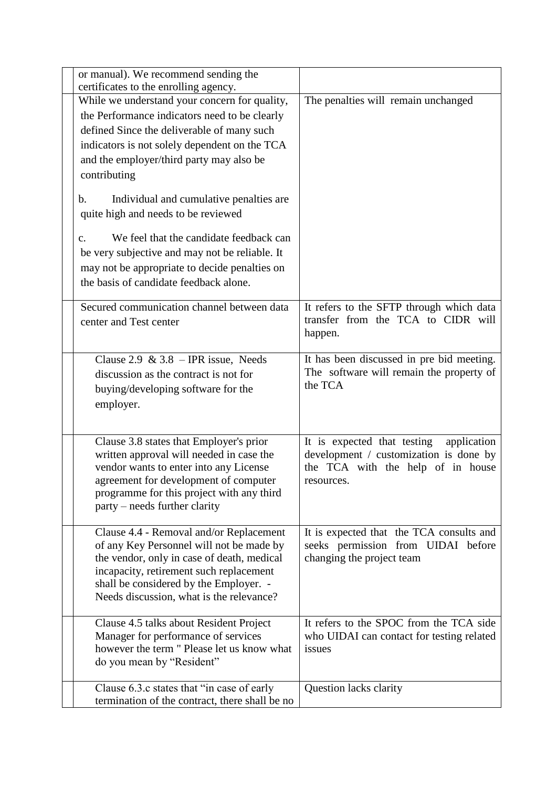| or manual). We recommend sending the<br>certificates to the enrolling agency.                                                                                                                                                                                      |                                                                                                                                         |
|--------------------------------------------------------------------------------------------------------------------------------------------------------------------------------------------------------------------------------------------------------------------|-----------------------------------------------------------------------------------------------------------------------------------------|
| While we understand your concern for quality,<br>the Performance indicators need to be clearly<br>defined Since the deliverable of many such<br>indicators is not solely dependent on the TCA<br>and the employer/third party may also be<br>contributing          | The penalties will remain unchanged                                                                                                     |
| Individual and cumulative penalties are<br>b.<br>quite high and needs to be reviewed                                                                                                                                                                               |                                                                                                                                         |
| We feel that the candidate feedback can<br>c.<br>be very subjective and may not be reliable. It<br>may not be appropriate to decide penalties on<br>the basis of candidate feedback alone.                                                                         |                                                                                                                                         |
| Secured communication channel between data<br>center and Test center                                                                                                                                                                                               | It refers to the SFTP through which data<br>transfer from the TCA to CIDR will<br>happen.                                               |
| Clause 2.9 & 3.8 - IPR issue, Needs<br>discussion as the contract is not for<br>buying/developing software for the<br>employer.                                                                                                                                    | It has been discussed in pre bid meeting.<br>The software will remain the property of<br>the TCA                                        |
| Clause 3.8 states that Employer's prior<br>written approval will needed in case the<br>vendor wants to enter into any License<br>agreement for development of computer<br>programme for this project with any third<br>party – needs further clarity               | It is expected that testing<br>application<br>development / customization is done by<br>the TCA with the help of in house<br>resources. |
| Clause 4.4 - Removal and/or Replacement<br>of any Key Personnel will not be made by<br>the vendor, only in case of death, medical<br>incapacity, retirement such replacement<br>shall be considered by the Employer. -<br>Needs discussion, what is the relevance? | It is expected that the TCA consults and<br>seeks permission from UIDAI before<br>changing the project team                             |
| Clause 4.5 talks about Resident Project<br>Manager for performance of services<br>however the term " Please let us know what<br>do you mean by "Resident"                                                                                                          | It refers to the SPOC from the TCA side<br>who UIDAI can contact for testing related<br>issues                                          |
| Clause 6.3.c states that "in case of early"<br>termination of the contract, there shall be no                                                                                                                                                                      | Question lacks clarity                                                                                                                  |